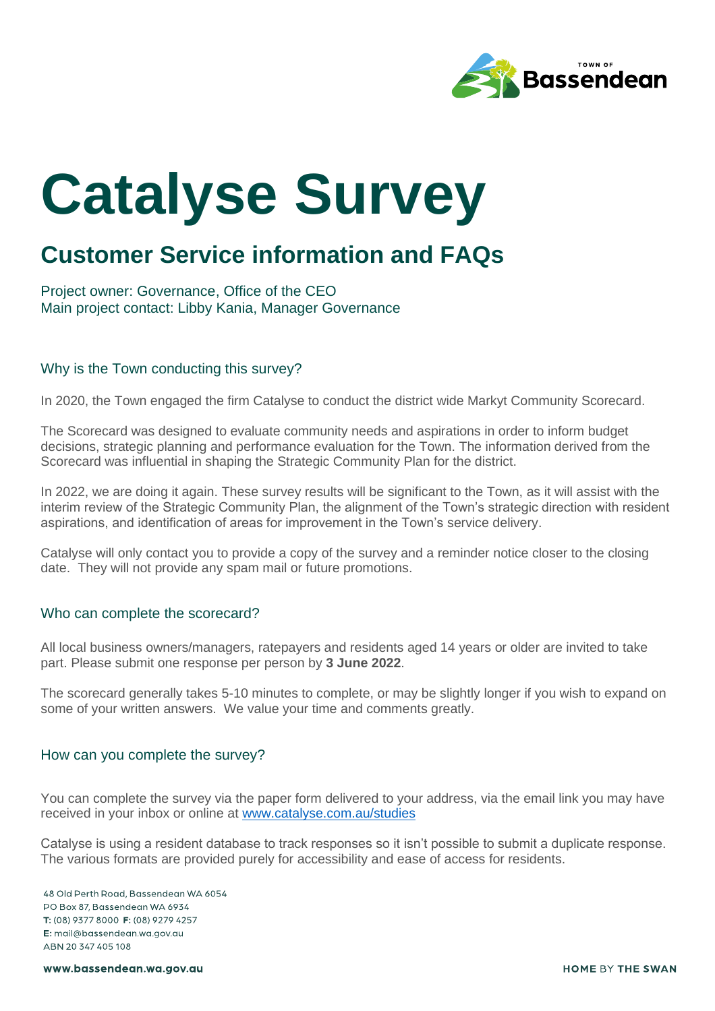

# **Catalyse Survey**

# **Customer Service information and FAQs**

Project owner: Governance, Office of the CEO Main project contact: Libby Kania, Manager Governance

## Why is the Town conducting this survey?

In 2020, the Town engaged the firm Catalyse to conduct the district wide Markyt Community Scorecard.

The Scorecard was designed to evaluate community needs and aspirations in order to inform budget decisions, strategic planning and performance evaluation for the Town. The information derived from the Scorecard was influential in shaping the Strategic Community Plan for the district.

In 2022, we are doing it again. These survey results will be significant to the Town, as it will assist with the interim review of the Strategic Community Plan, the alignment of the Town's strategic direction with resident aspirations, and identification of areas for improvement in the Town's service delivery.

Catalyse will only contact you to provide a copy of the survey and a reminder notice closer to the closing date. They will not provide any spam mail or future promotions.

## Who can complete the scorecard?

All local business owners/managers, ratepayers and residents aged 14 years or older are invited to take part. Please submit one response per person by **3 June 2022**.

The scorecard generally takes 5-10 minutes to complete, or may be slightly longer if you wish to expand on some of your written answers. We value your time and comments greatly.

#### How can you complete the survey?

You can complete the survey via the paper form delivered to your address, via the email link you may have received in your inbox or online at [www.catalyse.com.au/studies](http://www.catalyse.com.au/studies)

Catalyse is using a resident database to track responses so it isn't possible to submit a duplicate response. The various formats are provided purely for accessibility and ease of access for residents.

48 Old Perth Road, Bassendean WA 6054 PO Box 87, Bassendean WA 6934 T: (08) 9377 8000 F: (08) 9279 4257 E: mail@bassendean.wa.gov.gu ABN 20 347 405 108

www.bassendean.wa.gov.au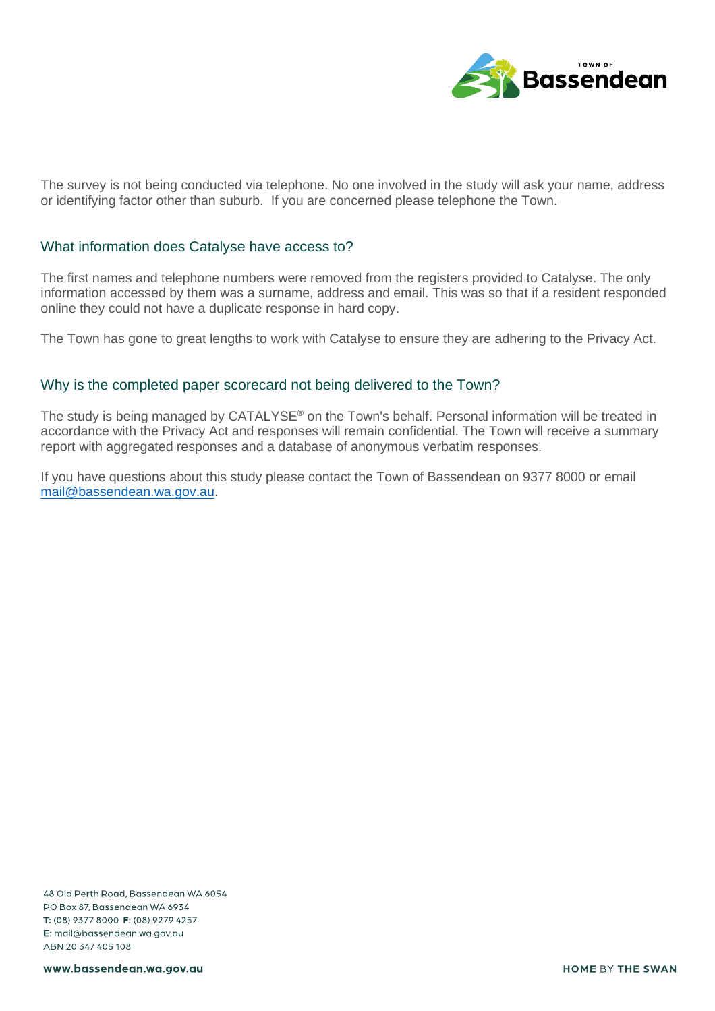

The survey is not being conducted via telephone. No one involved in the study will ask your name, address or identifying factor other than suburb. If you are concerned please telephone the Town.

#### What information does Catalyse have access to?

The first names and telephone numbers were removed from the registers provided to Catalyse. The only information accessed by them was a surname, address and email. This was so that if a resident responded online they could not have a duplicate response in hard copy.

The Town has gone to great lengths to work with Catalyse to ensure they are adhering to the Privacy Act.

## Why is the completed paper scorecard not being delivered to the Town?

The study is being managed by CATALYSE<sup>®</sup> on the Town's behalf. Personal information will be treated in accordance with the Privacy Act and responses will remain confidential. The Town will receive a summary report with aggregated responses and a database of anonymous verbatim responses.

If you have questions about this study please contact the Town of Bassendean on 9377 8000 or email [mail@bassendean.wa.gov.au.](mailto:mail@bassendean.wa.gov.au)

48 Old Perth Road, Bassendean WA 6054 PO Box 87, Bassendean WA 6934 T: (08) 9377 8000 F: (08) 9279 4257 E: mail@bassendean.wa.gov.au ABN 20 347 405 108